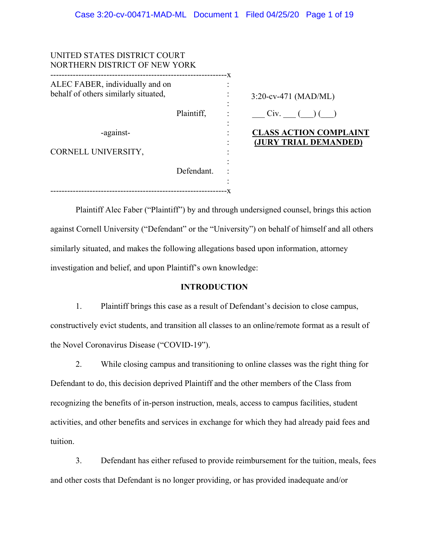| UNITED STATES DISTRICT COURT<br>NORTHERN DISTRICT OF NEW YORK           |              |                                                        |
|-------------------------------------------------------------------------|--------------|--------------------------------------------------------|
| ALEC FABER, individually and on<br>behalf of others similarly situated, | . <u>.</u> . | $3:20$ -cv-471 (MAD/ML)                                |
|                                                                         | Plaintiff,   | Civ.                                                   |
| -against-                                                               |              | <b>CLASS ACTION COMPLAINT</b><br>(JURY TRIAL DEMANDED) |
| CORNELL UNIVERSITY,                                                     |              |                                                        |
|                                                                         | Defendant.   |                                                        |
|                                                                         |              |                                                        |

Plaintiff Alec Faber ("Plaintiff") by and through undersigned counsel, brings this action against Cornell University ("Defendant" or the "University") on behalf of himself and all others similarly situated, and makes the following allegations based upon information, attorney investigation and belief, and upon Plaintiff's own knowledge:

#### **INTRODUCTION**

1. Plaintiff brings this case as a result of Defendant's decision to close campus, constructively evict students, and transition all classes to an online/remote format as a result of the Novel Coronavirus Disease ("COVID-19").

2. While closing campus and transitioning to online classes was the right thing for Defendant to do, this decision deprived Plaintiff and the other members of the Class from recognizing the benefits of in-person instruction, meals, access to campus facilities, student activities, and other benefits and services in exchange for which they had already paid fees and tuition.

3. Defendant has either refused to provide reimbursement for the tuition, meals, fees and other costs that Defendant is no longer providing, or has provided inadequate and/or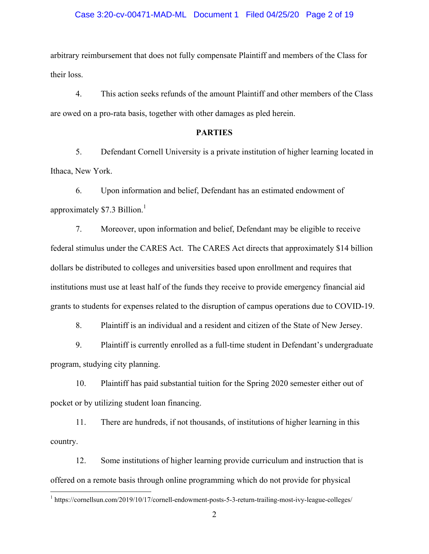#### Case 3:20-cv-00471-MAD-ML Document 1 Filed 04/25/20 Page 2 of 19

arbitrary reimbursement that does not fully compensate Plaintiff and members of the Class for their loss.

4. This action seeks refunds of the amount Plaintiff and other members of the Class are owed on a pro-rata basis, together with other damages as pled herein.

# **PARTIES**

5. Defendant Cornell University is a private institution of higher learning located in Ithaca, New York.

6. Upon information and belief, Defendant has an estimated endowment of approximately  $$7.3$  Billion.<sup>1</sup>

7. Moreover, upon information and belief, Defendant may be eligible to receive federal stimulus under the CARES Act. The CARES Act directs that approximately \$14 billion dollars be distributed to colleges and universities based upon enrollment and requires that institutions must use at least half of the funds they receive to provide emergency financial aid grants to students for expenses related to the disruption of campus operations due to COVID-19.

8. Plaintiff is an individual and a resident and citizen of the State of New Jersey.

9. Plaintiff is currently enrolled as a full-time student in Defendant's undergraduate program, studying city planning.

10. Plaintiff has paid substantial tuition for the Spring 2020 semester either out of pocket or by utilizing student loan financing.

11. There are hundreds, if not thousands, of institutions of higher learning in this country.

12. Some institutions of higher learning provide curriculum and instruction that is offered on a remote basis through online programming which do not provide for physical

 $\overline{a}$ 

<sup>&</sup>lt;sup>1</sup> https://cornellsun.com/2019/10/17/cornell-endowment-posts-5-3-return-trailing-most-ivy-league-colleges/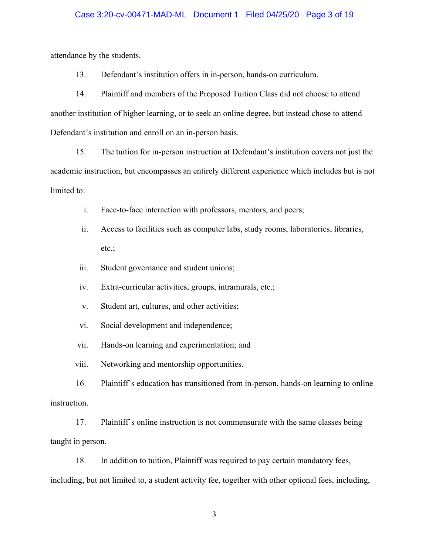#### Case 3:20-cv-00471-MAD-ML Document 1 Filed 04/25/20 Page 3 of 19

attendance by the students.

13. Defendant's institution offers in in-person, hands-on curriculum.

14. Plaintiff and members of the Proposed Tuition Class did not choose to attend another institution of higher learning, or to seek an online degree, but instead chose to attend Defendant's institution and enroll on an in-person basis.

15. The tuition for in-person instruction at Defendant's institution covers not just the academic instruction, but encompasses an entirely different experience which includes but is not limited to:

- i. Face-to-face interaction with professors, mentors, and peers;
- ii. Access to facilities such as computer labs, study rooms, laboratories, libraries, etc.;
- iii. Student governance and student unions;
- iv. Extra-curricular activities, groups, intramurals, etc.;
- v. Student art, cultures, and other activities;
- vi. Social development and independence;

vii. Hands-on learning and experimentation; and

viii. Networking and mentorship opportunities.

16. Plaintiff's education has transitioned from in-person, hands-on learning to online instruction.

17. Plaintiff's online instruction is not commensurate with the same classes being taught in person.

18. In addition to tuition, Plaintiff was required to pay certain mandatory fees, including, but not limited to, a student activity fee, together with other optional fees, including,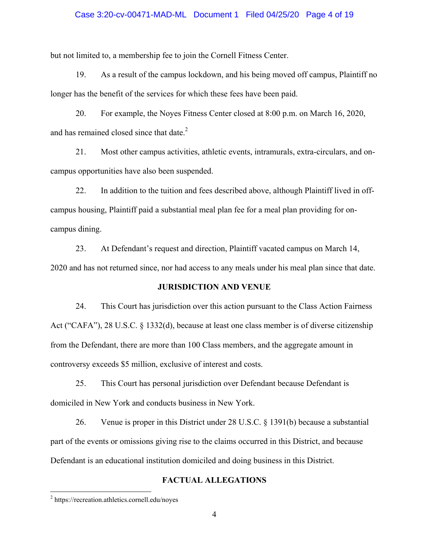#### Case 3:20-cv-00471-MAD-ML Document 1 Filed 04/25/20 Page 4 of 19

but not limited to, a membership fee to join the Cornell Fitness Center.

19. As a result of the campus lockdown, and his being moved off campus, Plaintiff no longer has the benefit of the services for which these fees have been paid.

20. For example, the Noyes Fitness Center closed at 8:00 p.m. on March 16, 2020, and has remained closed since that date.<sup>2</sup>

21. Most other campus activities, athletic events, intramurals, extra-circulars, and oncampus opportunities have also been suspended.

22. In addition to the tuition and fees described above, although Plaintiff lived in offcampus housing, Plaintiff paid a substantial meal plan fee for a meal plan providing for oncampus dining.

23. At Defendant's request and direction, Plaintiff vacated campus on March 14, 2020 and has not returned since, nor had access to any meals under his meal plan since that date.

#### **JURISDICTION AND VENUE**

24. This Court has jurisdiction over this action pursuant to the Class Action Fairness Act ("CAFA"), 28 U.S.C. § 1332(d), because at least one class member is of diverse citizenship from the Defendant, there are more than 100 Class members, and the aggregate amount in controversy exceeds \$5 million, exclusive of interest and costs.

25. This Court has personal jurisdiction over Defendant because Defendant is domiciled in New York and conducts business in New York.

26. Venue is proper in this District under 28 U.S.C. § 1391(b) because a substantial part of the events or omissions giving rise to the claims occurred in this District, and because Defendant is an educational institution domiciled and doing business in this District.

#### **FACTUAL ALLEGATIONS**

 $\overline{a}$ 

<sup>&</sup>lt;sup>2</sup> https://recreation.athletics.cornell.edu/noyes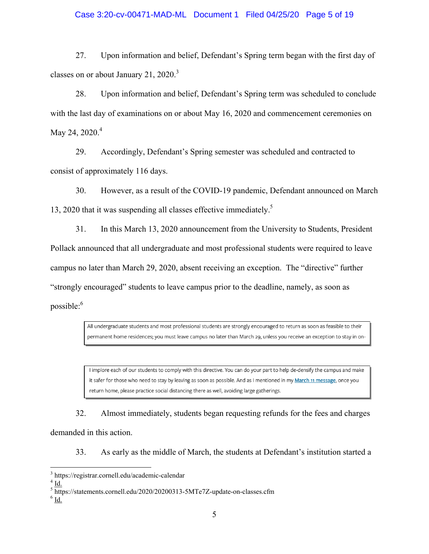#### Case 3:20-cv-00471-MAD-ML Document 1 Filed 04/25/20 Page 5 of 19

27. Upon information and belief, Defendant's Spring term began with the first day of classes on or about January 21,  $2020$ <sup>3</sup>

28. Upon information and belief, Defendant's Spring term was scheduled to conclude with the last day of examinations on or about May 16, 2020 and commencement ceremonies on May 24,  $2020.<sup>4</sup>$ 

29. Accordingly, Defendant's Spring semester was scheduled and contracted to consist of approximately 116 days.

30. However, as a result of the COVID-19 pandemic, Defendant announced on March 13, 2020 that it was suspending all classes effective immediately.<sup>5</sup>

31. In this March 13, 2020 announcement from the University to Students, President Pollack announced that all undergraduate and most professional students were required to leave campus no later than March 29, 2020, absent receiving an exception. The "directive" further "strongly encouraged" students to leave campus prior to the deadline, namely, as soon as possible:<sup>6</sup>

> All undergraduate students and most professional students are strongly encouraged to return as soon as feasible to their permanent home residences; you must leave campus no later than March 29, unless you receive an exception to stay in on-

> I implore each of our students to comply with this directive. You can do your part to help de-densify the campus and make it safer for those who need to stay by leaving as soon as possible. And as I mentioned in my March 11 message, once you return home, please practice social distancing there as well, avoiding large gatherings.

32. Almost immediately, students began requesting refunds for the fees and charges demanded in this action.

33. As early as the middle of March, the students at Defendant's institution started a

<u>.</u>

<sup>3</sup> https://registrar.cornell.edu/academic-calendar

 $4$   $\underline{\text{Id}}$ .

<sup>&</sup>lt;sup>5</sup> https://statements.cornell.edu/2020/20200313-5MTe7Z-update-on-classes.cfm<br><sup>6</sup> L4

 $^6$  <u>Id.</u>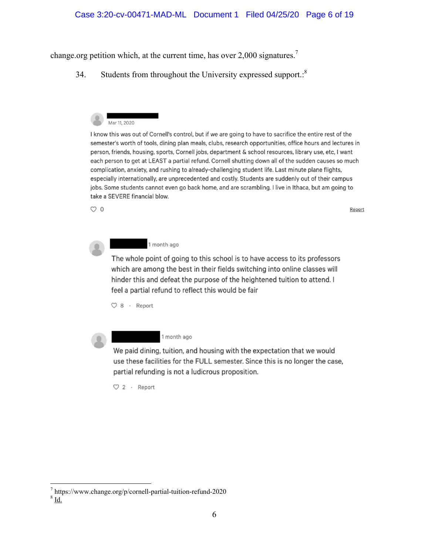change.org petition which, at the current time, has over  $2,000$  signatures.<sup>7</sup>

34. Students from throughout the University expressed support.<sup>8</sup>



I know this was out of Cornell's control, but if we are going to have to sacrifice the entire rest of the semester's worth of tools, dining plan meals, clubs, research opportunities, office hours and lectures in person, friends, housing, sports, Cornell jobs, department & school resources, library use, etc. I want each person to get at LEAST a partial refund. Cornell shutting down all of the sudden causes so much complication, anxiety, and rushing to already-challenging student life. Last minute plane flights, especially internationally, are unprecedented and costly. Students are suddenly out of their campus jobs. Some students cannot even go back home, and are scrambling. I live in Ithaca, but am going to take a SEVERE financial blow.

Report

 $\circ$  0

1 month ago

The whole point of going to this school is to have access to its professors which are among the best in their fields switching into online classes will hinder this and defeat the purpose of the heightened tuition to attend. I feel a partial refund to reflect this would be fair

 $O 8$  · Report



1 month ago

We paid dining, tuition, and housing with the expectation that we would use these facilities for the FULL semester. Since this is no longer the case, partial refunding is not a ludicrous proposition.

 $\heartsuit$  2 · Report

 $T$  https://www.change.org/p/cornell-partial-tuition-refund-2020<br>8 L4

 $8$   $\underline{\mathbf{Id}}$ .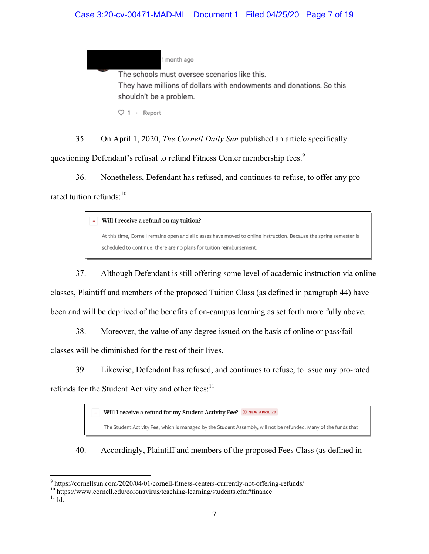# Case 3:20-cv-00471-MAD-ML Document 1 Filed 04/25/20 Page 7 of 19

1 month ago

The schools must oversee scenarios like this. They have millions of dollars with endowments and donations. So this shouldn't be a problem.

 $\heartsuit$  1  $\cdot$  Report

35. On April 1, 2020, *The Cornell Daily Sun* published an article specifically questioning Defendant's refusal to refund Fitness Center membership fees.<sup>9</sup>

36. Nonetheless, Defendant has refused, and continues to refuse, to offer any prorated tuition refunds: $10$ 

Will I receive a refund on my tuition?

At this time, Cornell remains open and all classes have moved to online instruction. Because the spring semester is scheduled to continue, there are no plans for tuition reimbursement.

37. Although Defendant is still offering some level of academic instruction via online classes, Plaintiff and members of the proposed Tuition Class (as defined in paragraph 44) have been and will be deprived of the benefits of on-campus learning as set forth more fully above.

38. Moreover, the value of any degree issued on the basis of online or pass/fail

classes will be diminished for the rest of their lives.

39. Likewise, Defendant has refused, and continues to refuse, to issue any pro-rated

refunds for the Student Activity and other fees: $<sup>11</sup>$ </sup>

Will I receive a refund for my Student Activity Fee? ONEW APRIL 20

The Student Activity Fee, which is managed by the Student Assembly, will not be refunded. Many of the funds that

I

40. Accordingly, Plaintiff and members of the proposed Fees Class (as defined in

 $\overline{\phantom{a}}$ 

<sup>&</sup>lt;sup>9</sup> https://cornellsun.com/2020/04/01/cornell-fitness-centers-currently-not-offering-refunds/

 $^{10}$ https://www.cornell.edu/coronavirus/teaching-learning/students.cfm#finance  $^{11}$ Id.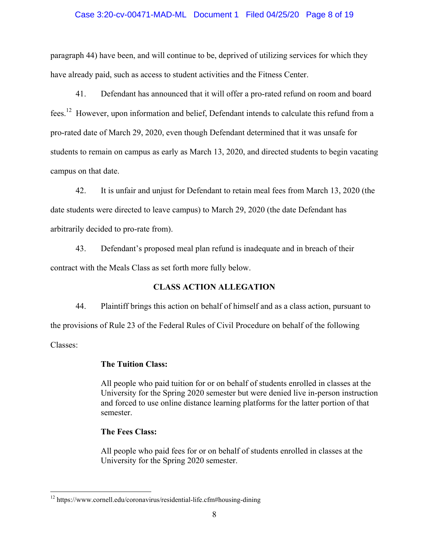## Case 3:20-cv-00471-MAD-ML Document 1 Filed 04/25/20 Page 8 of 19

paragraph 44) have been, and will continue to be, deprived of utilizing services for which they have already paid, such as access to student activities and the Fitness Center.

41. Defendant has announced that it will offer a pro-rated refund on room and board fees.12 However, upon information and belief, Defendant intends to calculate this refund from a pro-rated date of March 29, 2020, even though Defendant determined that it was unsafe for students to remain on campus as early as March 13, 2020, and directed students to begin vacating campus on that date.

42. It is unfair and unjust for Defendant to retain meal fees from March 13, 2020 (the date students were directed to leave campus) to March 29, 2020 (the date Defendant has arbitrarily decided to pro-rate from).

43. Defendant's proposed meal plan refund is inadequate and in breach of their contract with the Meals Class as set forth more fully below.

# **CLASS ACTION ALLEGATION**

44. Plaintiff brings this action on behalf of himself and as a class action, pursuant to

the provisions of Rule 23 of the Federal Rules of Civil Procedure on behalf of the following

Classes:

<u>.</u>

# **The Tuition Class:**

All people who paid tuition for or on behalf of students enrolled in classes at the University for the Spring 2020 semester but were denied live in-person instruction and forced to use online distance learning platforms for the latter portion of that semester.

# **The Fees Class:**

All people who paid fees for or on behalf of students enrolled in classes at the University for the Spring 2020 semester.

<sup>12</sup> https://www.cornell.edu/coronavirus/residential-life.cfm#housing-dining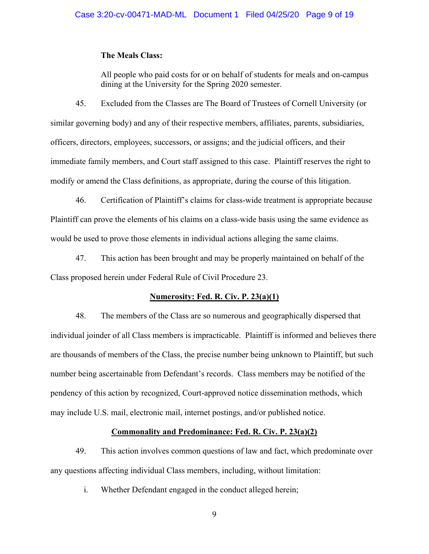#### **The Meals Class:**

All people who paid costs for or on behalf of students for meals and on-campus dining at the University for the Spring 2020 semester.

45. Excluded from the Classes are The Board of Trustees of Cornell University (or similar governing body) and any of their respective members, affiliates, parents, subsidiaries, officers, directors, employees, successors, or assigns; and the judicial officers, and their immediate family members, and Court staff assigned to this case. Plaintiff reserves the right to modify or amend the Class definitions, as appropriate, during the course of this litigation.

46. Certification of Plaintiff's claims for class-wide treatment is appropriate because Plaintiff can prove the elements of his claims on a class-wide basis using the same evidence as would be used to prove those elements in individual actions alleging the same claims.

47. This action has been brought and may be properly maintained on behalf of the Class proposed herein under Federal Rule of Civil Procedure 23.

#### **Numerosity: Fed. R. Civ. P. 23(a)(1)**

48. The members of the Class are so numerous and geographically dispersed that individual joinder of all Class members is impracticable. Plaintiff is informed and believes there are thousands of members of the Class, the precise number being unknown to Plaintiff, but such number being ascertainable from Defendant's records. Class members may be notified of the pendency of this action by recognized, Court-approved notice dissemination methods, which may include U.S. mail, electronic mail, internet postings, and/or published notice.

# **Commonality and Predominance: Fed. R. Civ. P. 23(a)(2)**

49. This action involves common questions of law and fact, which predominate over any questions affecting individual Class members, including, without limitation:

i. Whether Defendant engaged in the conduct alleged herein;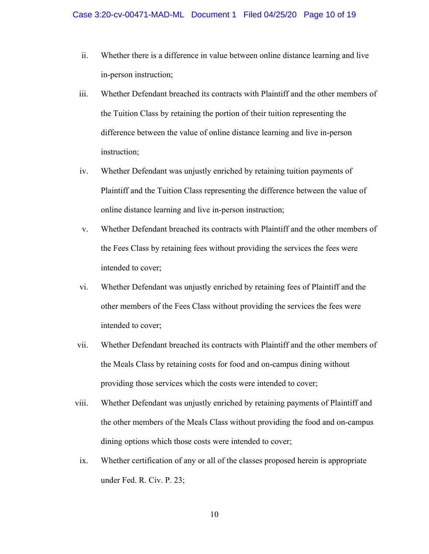- ii. Whether there is a difference in value between online distance learning and live in-person instruction;
- iii. Whether Defendant breached its contracts with Plaintiff and the other members of the Tuition Class by retaining the portion of their tuition representing the difference between the value of online distance learning and live in-person instruction;
- iv. Whether Defendant was unjustly enriched by retaining tuition payments of Plaintiff and the Tuition Class representing the difference between the value of online distance learning and live in-person instruction;
- v. Whether Defendant breached its contracts with Plaintiff and the other members of the Fees Class by retaining fees without providing the services the fees were intended to cover;
- vi. Whether Defendant was unjustly enriched by retaining fees of Plaintiff and the other members of the Fees Class without providing the services the fees were intended to cover;
- vii. Whether Defendant breached its contracts with Plaintiff and the other members of the Meals Class by retaining costs for food and on-campus dining without providing those services which the costs were intended to cover;
- viii. Whether Defendant was unjustly enriched by retaining payments of Plaintiff and the other members of the Meals Class without providing the food and on-campus dining options which those costs were intended to cover;
	- ix. Whether certification of any or all of the classes proposed herein is appropriate under Fed. R. Civ. P. 23;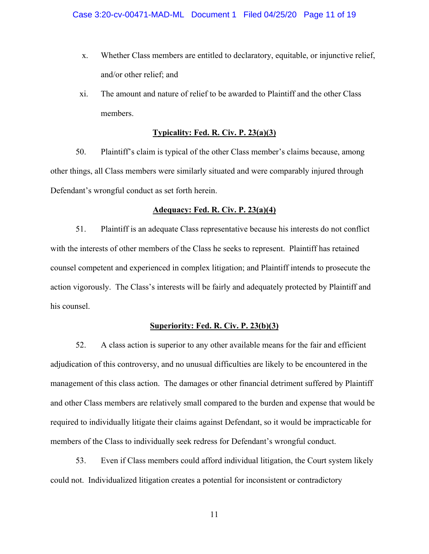- x. Whether Class members are entitled to declaratory, equitable, or injunctive relief, and/or other relief; and
- xi. The amount and nature of relief to be awarded to Plaintiff and the other Class members.

### **Typicality: Fed. R. Civ. P. 23(a)(3)**

50. Plaintiff's claim is typical of the other Class member's claims because, among other things, all Class members were similarly situated and were comparably injured through Defendant's wrongful conduct as set forth herein.

#### **Adequacy: Fed. R. Civ. P. 23(a)(4)**

51. Plaintiff is an adequate Class representative because his interests do not conflict with the interests of other members of the Class he seeks to represent. Plaintiff has retained counsel competent and experienced in complex litigation; and Plaintiff intends to prosecute the action vigorously. The Class's interests will be fairly and adequately protected by Plaintiff and his counsel.

#### **Superiority: Fed. R. Civ. P. 23(b)(3)**

52. A class action is superior to any other available means for the fair and efficient adjudication of this controversy, and no unusual difficulties are likely to be encountered in the management of this class action. The damages or other financial detriment suffered by Plaintiff and other Class members are relatively small compared to the burden and expense that would be required to individually litigate their claims against Defendant, so it would be impracticable for members of the Class to individually seek redress for Defendant's wrongful conduct.

53. Even if Class members could afford individual litigation, the Court system likely could not. Individualized litigation creates a potential for inconsistent or contradictory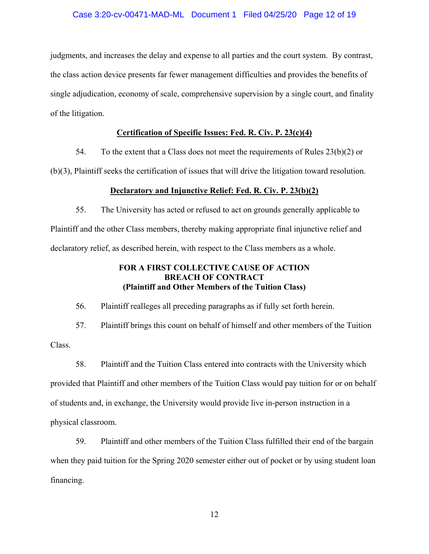#### Case 3:20-cv-00471-MAD-ML Document 1 Filed 04/25/20 Page 12 of 19

judgments, and increases the delay and expense to all parties and the court system. By contrast, the class action device presents far fewer management difficulties and provides the benefits of single adjudication, economy of scale, comprehensive supervision by a single court, and finality of the litigation.

# **Certification of Specific Issues: Fed. R. Civ. P. 23(c)(4)**

54. To the extent that a Class does not meet the requirements of Rules  $23(b)(2)$  or

(b)(3), Plaintiff seeks the certification of issues that will drive the litigation toward resolution.

#### **Declaratory and Injunctive Relief: Fed. R. Civ. P. 23(b)(2)**

55. The University has acted or refused to act on grounds generally applicable to Plaintiff and the other Class members, thereby making appropriate final injunctive relief and declaratory relief, as described herein, with respect to the Class members as a whole.

# **FOR A FIRST COLLECTIVE CAUSE OF ACTION BREACH OF CONTRACT (Plaintiff and Other Members of the Tuition Class)**

56. Plaintiff realleges all preceding paragraphs as if fully set forth herein.

57. Plaintiff brings this count on behalf of himself and other members of the Tuition

Class.

58. Plaintiff and the Tuition Class entered into contracts with the University which provided that Plaintiff and other members of the Tuition Class would pay tuition for or on behalf of students and, in exchange, the University would provide live in-person instruction in a physical classroom.

59. Plaintiff and other members of the Tuition Class fulfilled their end of the bargain when they paid tuition for the Spring 2020 semester either out of pocket or by using student loan financing.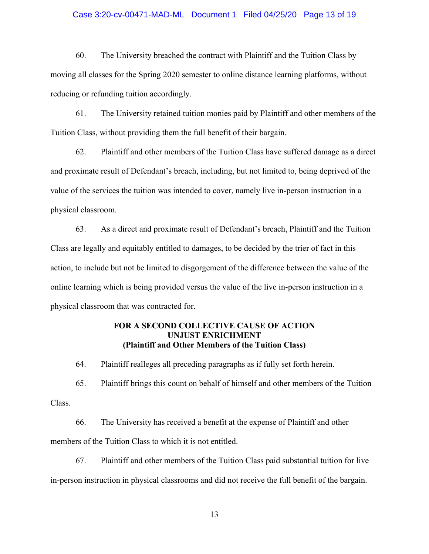#### Case 3:20-cv-00471-MAD-ML Document 1 Filed 04/25/20 Page 13 of 19

60. The University breached the contract with Plaintiff and the Tuition Class by moving all classes for the Spring 2020 semester to online distance learning platforms, without reducing or refunding tuition accordingly.

61. The University retained tuition monies paid by Plaintiff and other members of the Tuition Class, without providing them the full benefit of their bargain.

62. Plaintiff and other members of the Tuition Class have suffered damage as a direct and proximate result of Defendant's breach, including, but not limited to, being deprived of the value of the services the tuition was intended to cover, namely live in-person instruction in a physical classroom.

63. As a direct and proximate result of Defendant's breach, Plaintiff and the Tuition Class are legally and equitably entitled to damages, to be decided by the trier of fact in this action, to include but not be limited to disgorgement of the difference between the value of the online learning which is being provided versus the value of the live in-person instruction in a physical classroom that was contracted for.

# **FOR A SECOND COLLECTIVE CAUSE OF ACTION UNJUST ENRICHMENT (Plaintiff and Other Members of the Tuition Class)**

64. Plaintiff realleges all preceding paragraphs as if fully set forth herein.

65. Plaintiff brings this count on behalf of himself and other members of the Tuition Class.

66. The University has received a benefit at the expense of Plaintiff and other members of the Tuition Class to which it is not entitled.

67. Plaintiff and other members of the Tuition Class paid substantial tuition for live in-person instruction in physical classrooms and did not receive the full benefit of the bargain.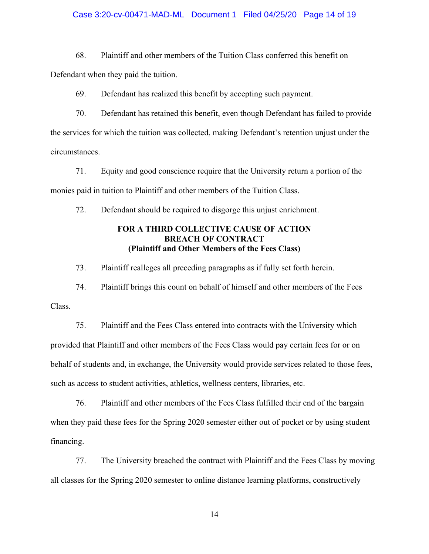#### Case 3:20-cv-00471-MAD-ML Document 1 Filed 04/25/20 Page 14 of 19

68. Plaintiff and other members of the Tuition Class conferred this benefit on Defendant when they paid the tuition.

69. Defendant has realized this benefit by accepting such payment.

70. Defendant has retained this benefit, even though Defendant has failed to provide the services for which the tuition was collected, making Defendant's retention unjust under the circumstances.

71. Equity and good conscience require that the University return a portion of the monies paid in tuition to Plaintiff and other members of the Tuition Class.

72. Defendant should be required to disgorge this unjust enrichment.

# **FOR A THIRD COLLECTIVE CAUSE OF ACTION BREACH OF CONTRACT (Plaintiff and Other Members of the Fees Class)**

73. Plaintiff realleges all preceding paragraphs as if fully set forth herein.

74. Plaintiff brings this count on behalf of himself and other members of the Fees Class.

75. Plaintiff and the Fees Class entered into contracts with the University which provided that Plaintiff and other members of the Fees Class would pay certain fees for or on behalf of students and, in exchange, the University would provide services related to those fees, such as access to student activities, athletics, wellness centers, libraries, etc.

76. Plaintiff and other members of the Fees Class fulfilled their end of the bargain when they paid these fees for the Spring 2020 semester either out of pocket or by using student financing.

77. The University breached the contract with Plaintiff and the Fees Class by moving all classes for the Spring 2020 semester to online distance learning platforms, constructively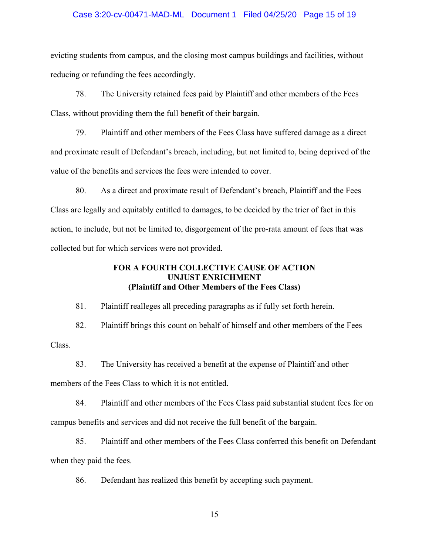#### Case 3:20-cv-00471-MAD-ML Document 1 Filed 04/25/20 Page 15 of 19

evicting students from campus, and the closing most campus buildings and facilities, without reducing or refunding the fees accordingly.

78. The University retained fees paid by Plaintiff and other members of the Fees Class, without providing them the full benefit of their bargain.

79. Plaintiff and other members of the Fees Class have suffered damage as a direct and proximate result of Defendant's breach, including, but not limited to, being deprived of the value of the benefits and services the fees were intended to cover.

80. As a direct and proximate result of Defendant's breach, Plaintiff and the Fees Class are legally and equitably entitled to damages, to be decided by the trier of fact in this action, to include, but not be limited to, disgorgement of the pro-rata amount of fees that was collected but for which services were not provided.

# **FOR A FOURTH COLLECTIVE CAUSE OF ACTION UNJUST ENRICHMENT (Plaintiff and Other Members of the Fees Class)**

81. Plaintiff realleges all preceding paragraphs as if fully set forth herein.

82. Plaintiff brings this count on behalf of himself and other members of the Fees Class.

83. The University has received a benefit at the expense of Plaintiff and other members of the Fees Class to which it is not entitled.

84. Plaintiff and other members of the Fees Class paid substantial student fees for on campus benefits and services and did not receive the full benefit of the bargain.

85. Plaintiff and other members of the Fees Class conferred this benefit on Defendant when they paid the fees.

86. Defendant has realized this benefit by accepting such payment.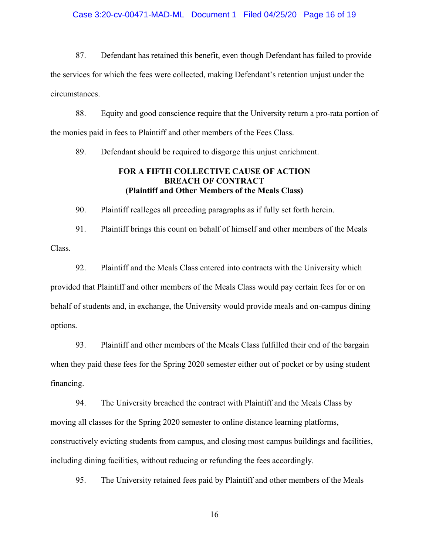#### Case 3:20-cv-00471-MAD-ML Document 1 Filed 04/25/20 Page 16 of 19

87. Defendant has retained this benefit, even though Defendant has failed to provide the services for which the fees were collected, making Defendant's retention unjust under the circumstances.

88. Equity and good conscience require that the University return a pro-rata portion of the monies paid in fees to Plaintiff and other members of the Fees Class.

89. Defendant should be required to disgorge this unjust enrichment.

# **FOR A FIFTH COLLECTIVE CAUSE OF ACTION BREACH OF CONTRACT (Plaintiff and Other Members of the Meals Class)**

90. Plaintiff realleges all preceding paragraphs as if fully set forth herein.

91. Plaintiff brings this count on behalf of himself and other members of the Meals Class.

92. Plaintiff and the Meals Class entered into contracts with the University which provided that Plaintiff and other members of the Meals Class would pay certain fees for or on behalf of students and, in exchange, the University would provide meals and on-campus dining options.

93. Plaintiff and other members of the Meals Class fulfilled their end of the bargain when they paid these fees for the Spring 2020 semester either out of pocket or by using student financing.

94. The University breached the contract with Plaintiff and the Meals Class by moving all classes for the Spring 2020 semester to online distance learning platforms, constructively evicting students from campus, and closing most campus buildings and facilities, including dining facilities, without reducing or refunding the fees accordingly.

95. The University retained fees paid by Plaintiff and other members of the Meals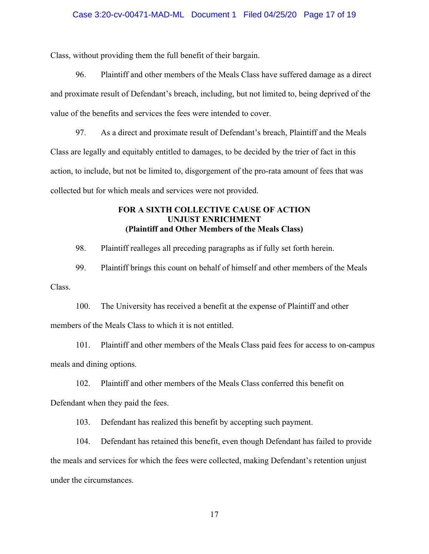#### Case 3:20-cv-00471-MAD-ML Document 1 Filed 04/25/20 Page 17 of 19

Class, without providing them the full benefit of their bargain.

96. Plaintiff and other members of the Meals Class have suffered damage as a direct and proximate result of Defendant's breach, including, but not limited to, being deprived of the value of the benefits and services the fees were intended to cover.

97. As a direct and proximate result of Defendant's breach, Plaintiff and the Meals Class are legally and equitably entitled to damages, to be decided by the trier of fact in this action, to include, but not be limited to, disgorgement of the pro-rata amount of fees that was collected but for which meals and services were not provided.

# **FOR A SIXTH COLLECTIVE CAUSE OF ACTION UNJUST ENRICHMENT (Plaintiff and Other Members of the Meals Class)**

98. Plaintiff realleges all preceding paragraphs as if fully set forth herein.

99. Plaintiff brings this count on behalf of himself and other members of the Meals Class.

100. The University has received a benefit at the expense of Plaintiff and other members of the Meals Class to which it is not entitled.

101. Plaintiff and other members of the Meals Class paid fees for access to on-campus meals and dining options.

102. Plaintiff and other members of the Meals Class conferred this benefit on Defendant when they paid the fees.

103. Defendant has realized this benefit by accepting such payment.

104. Defendant has retained this benefit, even though Defendant has failed to provide the meals and services for which the fees were collected, making Defendant's retention unjust under the circumstances.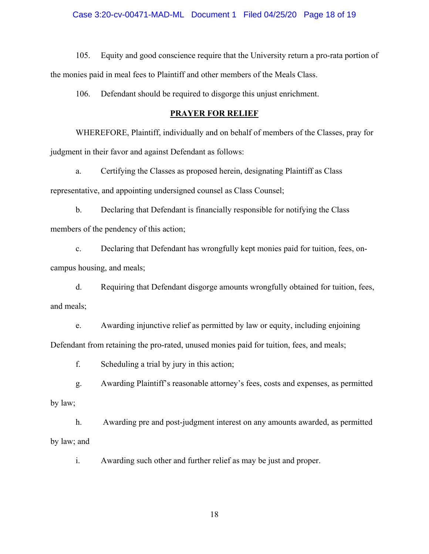#### Case 3:20-cv-00471-MAD-ML Document 1 Filed 04/25/20 Page 18 of 19

105. Equity and good conscience require that the University return a pro-rata portion of the monies paid in meal fees to Plaintiff and other members of the Meals Class.

106. Defendant should be required to disgorge this unjust enrichment.

#### **PRAYER FOR RELIEF**

WHEREFORE, Plaintiff, individually and on behalf of members of the Classes, pray for judgment in their favor and against Defendant as follows:

a. Certifying the Classes as proposed herein, designating Plaintiff as Class representative, and appointing undersigned counsel as Class Counsel;

b. Declaring that Defendant is financially responsible for notifying the Class members of the pendency of this action;

c. Declaring that Defendant has wrongfully kept monies paid for tuition, fees, oncampus housing, and meals;

d. Requiring that Defendant disgorge amounts wrongfully obtained for tuition, fees, and meals;

e. Awarding injunctive relief as permitted by law or equity, including enjoining Defendant from retaining the pro-rated, unused monies paid for tuition, fees, and meals;

f. Scheduling a trial by jury in this action;

g. Awarding Plaintiff's reasonable attorney's fees, costs and expenses, as permitted by law;

h. Awarding pre and post-judgment interest on any amounts awarded, as permitted by law; and

i. Awarding such other and further relief as may be just and proper.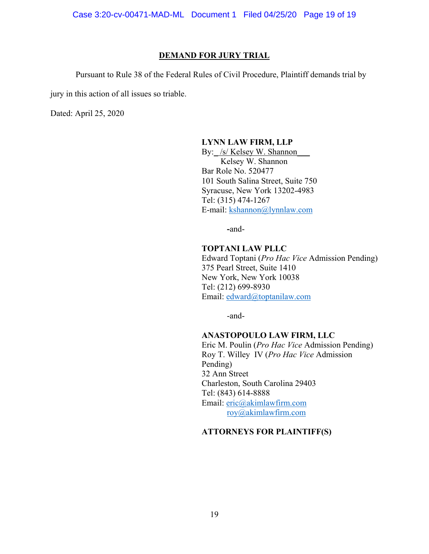Case 3:20-cv-00471-MAD-ML Document 1 Filed 04/25/20 Page 19 of 19

#### **DEMAND FOR JURY TRIAL**

Pursuant to Rule 38 of the Federal Rules of Civil Procedure, Plaintiff demands trial by

jury in this action of all issues so triable.

Dated: April 25, 2020

#### **LYNN LAW FIRM, LLP**

By: /s/ Kelsey W. Shannon Kelsey W. Shannon Bar Role No. 520477 101 South Salina Street, Suite 750 Syracuse, New York 13202-4983 Tel: (315) 474-1267 E-mail: kshannon@lynnlaw.com

**-**and-

#### **TOPTANI LAW PLLC**

Edward Toptani (*Pro Hac Vice* Admission Pending) 375 Pearl Street, Suite 1410 New York, New York 10038 Tel: (212) 699-8930 Email: edward@toptanilaw.com

-and-

#### **ANASTOPOULO LAW FIRM, LLC**

Eric M. Poulin (*Pro Hac Vice* Admission Pending) Roy T. Willey IV (*Pro Hac Vice* Admission Pending) 32 Ann Street Charleston, South Carolina 29403 Tel: (843) 614-8888 Email: eric@akimlawfirm.com roy@akimlawfirm.com

# **ATTORNEYS FOR PLAINTIFF(S)**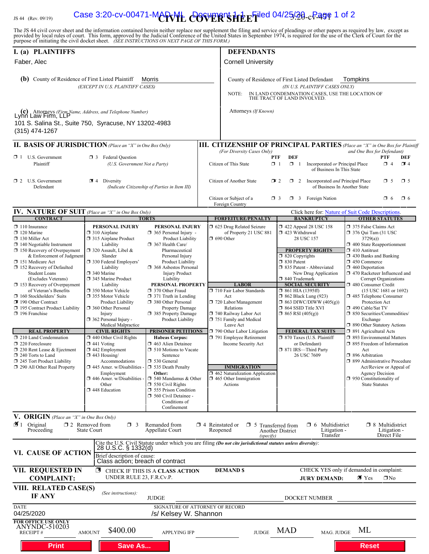# IS 44 (Rev. 09/19) **Case 3:20-cv-00471-MAPVIL COVER'SHE E<sup>Filed</sup> 04/25/20<sub>-c</sub>Page 1 of 2**

The JS 44 civil cover sheet and the information contained herein neither replace nor supplement the filing and service of pleadings or other papers as required by law, except as provided by local rules of court. This form,

| I. (a) PLAINTIFFS<br>Faber, Alec<br>(b) County of Residence of First Listed Plaintiff<br>Morris<br>(EXCEPT IN U.S. PLAINTIFF CASES)                                                                                                                                                                                                                                                                                                                                                                                                                                                                                                                     |                                                                                                                                                                                                                                                                                                                                                                                                                                                                                                                                                                                                                     |                                                                                                                                                                                                                                                                                                                                                                                                                                                                                                                                                                                                                                                                                                              | <b>Cornell University</b>                                                                                                                                                                                                                                                                                                                                                                                                  | <b>DEFENDANTS</b>                                                                                                                                                                                                                                                                                                                                                                                                                                                                                               |                                                                                                                                                                                                                                                                                                                                                                                                                                                                                                                                                                                                                                                                                                                                                       |  |  |  |
|---------------------------------------------------------------------------------------------------------------------------------------------------------------------------------------------------------------------------------------------------------------------------------------------------------------------------------------------------------------------------------------------------------------------------------------------------------------------------------------------------------------------------------------------------------------------------------------------------------------------------------------------------------|---------------------------------------------------------------------------------------------------------------------------------------------------------------------------------------------------------------------------------------------------------------------------------------------------------------------------------------------------------------------------------------------------------------------------------------------------------------------------------------------------------------------------------------------------------------------------------------------------------------------|--------------------------------------------------------------------------------------------------------------------------------------------------------------------------------------------------------------------------------------------------------------------------------------------------------------------------------------------------------------------------------------------------------------------------------------------------------------------------------------------------------------------------------------------------------------------------------------------------------------------------------------------------------------------------------------------------------------|----------------------------------------------------------------------------------------------------------------------------------------------------------------------------------------------------------------------------------------------------------------------------------------------------------------------------------------------------------------------------------------------------------------------------|-----------------------------------------------------------------------------------------------------------------------------------------------------------------------------------------------------------------------------------------------------------------------------------------------------------------------------------------------------------------------------------------------------------------------------------------------------------------------------------------------------------------|-------------------------------------------------------------------------------------------------------------------------------------------------------------------------------------------------------------------------------------------------------------------------------------------------------------------------------------------------------------------------------------------------------------------------------------------------------------------------------------------------------------------------------------------------------------------------------------------------------------------------------------------------------------------------------------------------------------------------------------------------------|--|--|--|
|                                                                                                                                                                                                                                                                                                                                                                                                                                                                                                                                                                                                                                                         |                                                                                                                                                                                                                                                                                                                                                                                                                                                                                                                                                                                                                     |                                                                                                                                                                                                                                                                                                                                                                                                                                                                                                                                                                                                                                                                                                              | County of Residence of First Listed Defendant<br>Tompkins<br>(IN U.S. PLAINTIFF CASES ONLY)<br>IN LAND CONDEMNATION CASES, USE THE LOCATION OF THE TRACT OF LAND INVOLVED.<br>NOTE:                                                                                                                                                                                                                                        |                                                                                                                                                                                                                                                                                                                                                                                                                                                                                                                 |                                                                                                                                                                                                                                                                                                                                                                                                                                                                                                                                                                                                                                                                                                                                                       |  |  |  |
| (c) Attorneys (Firm Name, Address, and Telephone Number)<br>Lynn Law Firm, LLP<br>101 S. Salina St., Suite 750, Syracuse, NY 13202-4983<br>$(315)$ 474-1267                                                                                                                                                                                                                                                                                                                                                                                                                                                                                             |                                                                                                                                                                                                                                                                                                                                                                                                                                                                                                                                                                                                                     |                                                                                                                                                                                                                                                                                                                                                                                                                                                                                                                                                                                                                                                                                                              | Attorneys (If Known)                                                                                                                                                                                                                                                                                                                                                                                                       |                                                                                                                                                                                                                                                                                                                                                                                                                                                                                                                 |                                                                                                                                                                                                                                                                                                                                                                                                                                                                                                                                                                                                                                                                                                                                                       |  |  |  |
| <b>II. BASIS OF JURISDICTION</b> (Place an "X" in One Box Only)                                                                                                                                                                                                                                                                                                                                                                                                                                                                                                                                                                                         |                                                                                                                                                                                                                                                                                                                                                                                                                                                                                                                                                                                                                     |                                                                                                                                                                                                                                                                                                                                                                                                                                                                                                                                                                                                                                                                                                              |                                                                                                                                                                                                                                                                                                                                                                                                                            |                                                                                                                                                                                                                                                                                                                                                                                                                                                                                                                 | <b>III. CITIZENSHIP OF PRINCIPAL PARTIES</b> (Place an "X" in One Box for Plaintiff                                                                                                                                                                                                                                                                                                                                                                                                                                                                                                                                                                                                                                                                   |  |  |  |
| $\Box$ 1 U.S. Government<br>Plaintiff                                                                                                                                                                                                                                                                                                                                                                                                                                                                                                                                                                                                                   | <b>3</b> Federal Question<br>(U.S. Government Not a Party)                                                                                                                                                                                                                                                                                                                                                                                                                                                                                                                                                          |                                                                                                                                                                                                                                                                                                                                                                                                                                                                                                                                                                                                                                                                                                              | (For Diversity Cases Only)<br>Citizen of This State                                                                                                                                                                                                                                                                                                                                                                        | <b>DEF</b><br><b>PTF</b><br>$\Box$ 1<br>$\Box$ 1<br>Incorporated or Principal Place<br>of Business In This State                                                                                                                                                                                                                                                                                                                                                                                                | and One Box for Defendant)<br>DEF<br>PTF<br>34<br>$\Box$ 4                                                                                                                                                                                                                                                                                                                                                                                                                                                                                                                                                                                                                                                                                            |  |  |  |
| $\Box$ 2 U.S. Government<br>Defendant                                                                                                                                                                                                                                                                                                                                                                                                                                                                                                                                                                                                                   | Diversity<br>⊡ 4                                                                                                                                                                                                                                                                                                                                                                                                                                                                                                                                                                                                    | (Indicate Citizenship of Parties in Item III)                                                                                                                                                                                                                                                                                                                                                                                                                                                                                                                                                                                                                                                                | Citizen of Another State<br>Citizen or Subject of a                                                                                                                                                                                                                                                                                                                                                                        | 2 Incorporated and Principal Place<br>$\mathbf{I}$ 2<br>of Business In Another State<br><b>3</b> Foreign Nation<br>$\Box$ 3                                                                                                                                                                                                                                                                                                                                                                                     | $\Box$ 5<br>$\Box$ 5<br>$\Box$ 6<br>O 6                                                                                                                                                                                                                                                                                                                                                                                                                                                                                                                                                                                                                                                                                                               |  |  |  |
|                                                                                                                                                                                                                                                                                                                                                                                                                                                                                                                                                                                                                                                         |                                                                                                                                                                                                                                                                                                                                                                                                                                                                                                                                                                                                                     |                                                                                                                                                                                                                                                                                                                                                                                                                                                                                                                                                                                                                                                                                                              | Foreign Country                                                                                                                                                                                                                                                                                                                                                                                                            |                                                                                                                                                                                                                                                                                                                                                                                                                                                                                                                 |                                                                                                                                                                                                                                                                                                                                                                                                                                                                                                                                                                                                                                                                                                                                                       |  |  |  |
| <b>IV. NATURE OF SUIT</b> (Place an "X" in One Box Only)<br><b>CONTRACT</b>                                                                                                                                                                                                                                                                                                                                                                                                                                                                                                                                                                             |                                                                                                                                                                                                                                                                                                                                                                                                                                                                                                                                                                                                                     | <b>TORTS</b>                                                                                                                                                                                                                                                                                                                                                                                                                                                                                                                                                                                                                                                                                                 | <b>FORFEITURE/PENALTY</b>                                                                                                                                                                                                                                                                                                                                                                                                  | <b>BANKRUPTCY</b>                                                                                                                                                                                                                                                                                                                                                                                                                                                                                               | Click here for: Nature of Suit Code Descriptions.<br><b>OTHER STATUTES</b>                                                                                                                                                                                                                                                                                                                                                                                                                                                                                                                                                                                                                                                                            |  |  |  |
| $\Box$ 110 Insurance<br>$\Box$ 120 Marine<br>$\Box$ 130 Miller Act<br>$\Box$ 140 Negotiable Instrument<br>$\Box$ 150 Recovery of Overpayment<br>& Enforcement of Judgment<br>151 Medicare Act<br>□ 152 Recovery of Defaulted<br><b>Student Loans</b><br>(Excludes Veterans)<br>$\Box$ 153 Recovery of Overpayment<br>of Veteran's Benefits<br>160 Stockholders' Suits<br>190 Other Contract<br>195 Contract Product Liability<br>196 Franchise<br><b>REAL PROPERTY</b><br>$\Box$ 210 Land Condemnation<br>$\Box$ 220 Foreclosure<br>$\Box$ 230 Rent Lease & Ejectment<br>240 Torts to Land<br>245 Tort Product Liability<br>290 All Other Real Property | PERSONAL INJURY<br>$\Box$ 310 Airplane<br>□ 315 Airplane Product<br>Liability<br>□ 320 Assault, Libel &<br>Slander<br>330 Federal Employers'<br>Liability<br>$\Box$ 340 Marine<br>345 Marine Product<br>Liability<br>□ 350 Motor Vehicle<br>□ 355 Motor Vehicle<br>Product Liability<br>360 Other Personal<br>Injury<br>$\Box$ 362 Personal Injury -<br>Medical Malpractice<br><b>CIVIL RIGHTS</b><br>440 Other Civil Rights<br>$\Box$ 441 Voting<br>442 Employment<br>$\Box$ 443 Housing/<br>Accommodations<br>$\Box$ 445 Amer. w/Disabilities<br>Employment<br>446 Amer. w/Disabilities<br>Other<br>448 Education | PERSONAL INJURY<br>$\Box$ 365 Personal Injury -<br>Product Liability<br>367 Health Care/<br>Pharmaceutical<br>Personal Injury<br>Product Liability<br>□ 368 Asbestos Personal<br><b>Injury Product</b><br>Liability<br>PERSONAL PROPERTY<br>□ 370 Other Fraud<br>$\Box$ 371 Truth in Lending<br>380 Other Personal<br><b>Property Damage</b><br>385 Property Damage<br>Product Liability<br><b>PRISONER PETITIONS</b><br><b>Habeas Corpus:</b><br>□ 463 Alien Detainee<br>$\Box$ 510 Motions to Vacate<br>Sentence<br>□ 530 General<br>535 Death Penalty<br>Other:<br>$\Box$ 540 Mandamus & Other<br>$\Box$ 550 Civil Rights<br>555 Prison Condition<br>560 Civil Detainee -<br>Conditions of<br>Confinement | 5 625 Drug Related Seizure<br>of Property 21 USC 881<br>$\Box$ 690 Other<br><b>LABOR</b><br>710 Fair Labor Standards<br>Act<br>720 Labor/Management<br>Relations<br>740 Railway Labor Act<br>751 Family and Medical<br>Leave Act<br>790 Other Labor Litigation<br>791 Employee Retirement<br>Income Security Act<br><b>IMMIGRATION</b><br>$\Box$ 462 Naturalization Application<br>$\Box$ 465 Other Immigration<br>Actions | 158 152 422 Appeal 28 USC<br>$\Box$ 423 Withdrawal<br>28 USC 157<br><b>PROPERTY RIGHTS</b><br>$\Box$ 820 Copyrights<br>□ 830 Patent<br>□ 835 Patent - Abbreviated<br>New Drug Application<br>□ 840 Trademark<br><b>SOCIAL SECURITY</b><br>$\Box$ 861 HIA (1395ff)<br><b>1 862 Black Lung (923)</b><br>$\Box$ 863 DIWC/DIWW (405(g))<br>$\Box$ 864 SSID Title XVI<br>$\Box$ 865 RSI (405(g))<br><b>FEDERAL TAX SUITS</b><br>7 870 Taxes (U.S. Plaintiff<br>or Defendant)<br>□ 871 IRS-Third Party<br>26 USC 7609 | 375 False Claims Act<br>$\Box$ 376 Qui Tam (31 USC)<br>3729(a)<br>1 400 State Reapportionment<br>$\Box$ 410 Antitrust<br>$\Box$ 430 Banks and Banking<br>$\Box$ 450 Commerce<br>$\Box$ 460 Deportation<br>□ 470 Racketeer Influenced and<br>Corrupt Organizations<br>□ 480 Consumer Credit<br>$(15$ USC 1681 or 1692)<br>□ 485 Telephone Consumer<br>Protection Act<br>□ 490 Cable/Sat TV<br>$\Box$ 850 Securities/Commodities/<br>Exchange<br>□ 890 Other Statutory Actions<br>□ 891 Agricultural Acts<br>□ 893 Environmental Matters<br>□ 895 Freedom of Information<br>Act<br>□ 896 Arbitration<br>□ 899 Administrative Procedure<br>Act/Review or Appeal of<br><b>Agency Decision</b><br>$\Box$ 950 Constitutionality of<br><b>State Statutes</b> |  |  |  |
| V. ORIGIN (Place an "X" in One Box Only)<br>$\blacksquare$ 1 Original<br>Proceeding                                                                                                                                                                                                                                                                                                                                                                                                                                                                                                                                                                     | $\square$ 2 Removed from<br>$\Box$ 3<br>State Court                                                                                                                                                                                                                                                                                                                                                                                                                                                                                                                                                                 | Remanded from<br>Appellate Court                                                                                                                                                                                                                                                                                                                                                                                                                                                                                                                                                                                                                                                                             | $\Box$ 4 Reinstated or<br>Reopened<br>(specify)                                                                                                                                                                                                                                                                                                                                                                            | Multidistrict<br>$\Box$ 5 Transferred from<br>$\Box$ 6<br>Litigation -<br><b>Another District</b><br>Transfer                                                                                                                                                                                                                                                                                                                                                                                                   | $\Box$ 8 Multidistrict<br>Litigation -<br>Direct File                                                                                                                                                                                                                                                                                                                                                                                                                                                                                                                                                                                                                                                                                                 |  |  |  |
| VI. CAUSE OF ACTION                                                                                                                                                                                                                                                                                                                                                                                                                                                                                                                                                                                                                                     | 28 U.S.C. § 1332(d)<br>Brief description of cause:<br>Class action; breach of contract                                                                                                                                                                                                                                                                                                                                                                                                                                                                                                                              |                                                                                                                                                                                                                                                                                                                                                                                                                                                                                                                                                                                                                                                                                                              | Cite the U.S. Civil Statute under which you are filing (Do not cite jurisdictional statutes unless diversity):                                                                                                                                                                                                                                                                                                             |                                                                                                                                                                                                                                                                                                                                                                                                                                                                                                                 |                                                                                                                                                                                                                                                                                                                                                                                                                                                                                                                                                                                                                                                                                                                                                       |  |  |  |
| <b>VII. REQUESTED IN</b><br><b>COMPLAINT:</b><br>VIII. RELATED CASE(S)                                                                                                                                                                                                                                                                                                                                                                                                                                                                                                                                                                                  | 图<br>UNDER RULE 23, F.R.Cv.P.                                                                                                                                                                                                                                                                                                                                                                                                                                                                                                                                                                                       | CHECK IF THIS IS A CLASS ACTION                                                                                                                                                                                                                                                                                                                                                                                                                                                                                                                                                                                                                                                                              | <b>DEMAND \$</b>                                                                                                                                                                                                                                                                                                                                                                                                           | <b>JURY DEMAND:</b>                                                                                                                                                                                                                                                                                                                                                                                                                                                                                             | CHECK YES only if demanded in complaint:<br>⊠ Yes<br>$\Box$ No                                                                                                                                                                                                                                                                                                                                                                                                                                                                                                                                                                                                                                                                                        |  |  |  |
| <b>IF ANY</b>                                                                                                                                                                                                                                                                                                                                                                                                                                                                                                                                                                                                                                           | (See instructions):                                                                                                                                                                                                                                                                                                                                                                                                                                                                                                                                                                                                 | <b>JUDGE</b>                                                                                                                                                                                                                                                                                                                                                                                                                                                                                                                                                                                                                                                                                                 |                                                                                                                                                                                                                                                                                                                                                                                                                            | DOCKET NUMBER                                                                                                                                                                                                                                                                                                                                                                                                                                                                                                   |                                                                                                                                                                                                                                                                                                                                                                                                                                                                                                                                                                                                                                                                                                                                                       |  |  |  |
| <b>DATE</b><br>04/25/2020                                                                                                                                                                                                                                                                                                                                                                                                                                                                                                                                                                                                                               |                                                                                                                                                                                                                                                                                                                                                                                                                                                                                                                                                                                                                     | /s/ Kelsey W. Shannon                                                                                                                                                                                                                                                                                                                                                                                                                                                                                                                                                                                                                                                                                        | SIGNATURE OF ATTORNEY OF RECORD                                                                                                                                                                                                                                                                                                                                                                                            |                                                                                                                                                                                                                                                                                                                                                                                                                                                                                                                 |                                                                                                                                                                                                                                                                                                                                                                                                                                                                                                                                                                                                                                                                                                                                                       |  |  |  |
| FOR OFFICE USE ONLY<br>ANYNDC-510203<br><b>RECEIPT#</b>                                                                                                                                                                                                                                                                                                                                                                                                                                                                                                                                                                                                 | \$400.00<br><b>AMOUNT</b>                                                                                                                                                                                                                                                                                                                                                                                                                                                                                                                                                                                           | <b>APPLYING IFP</b>                                                                                                                                                                                                                                                                                                                                                                                                                                                                                                                                                                                                                                                                                          | <b>JUDGE</b>                                                                                                                                                                                                                                                                                                                                                                                                               | <b>MAD</b><br>MAG. JUDGE                                                                                                                                                                                                                                                                                                                                                                                                                                                                                        | ML                                                                                                                                                                                                                                                                                                                                                                                                                                                                                                                                                                                                                                                                                                                                                    |  |  |  |
| <b>Print</b>                                                                                                                                                                                                                                                                                                                                                                                                                                                                                                                                                                                                                                            | <b>Save As</b>                                                                                                                                                                                                                                                                                                                                                                                                                                                                                                                                                                                                      |                                                                                                                                                                                                                                                                                                                                                                                                                                                                                                                                                                                                                                                                                                              |                                                                                                                                                                                                                                                                                                                                                                                                                            |                                                                                                                                                                                                                                                                                                                                                                                                                                                                                                                 | <b>Reset</b>                                                                                                                                                                                                                                                                                                                                                                                                                                                                                                                                                                                                                                                                                                                                          |  |  |  |